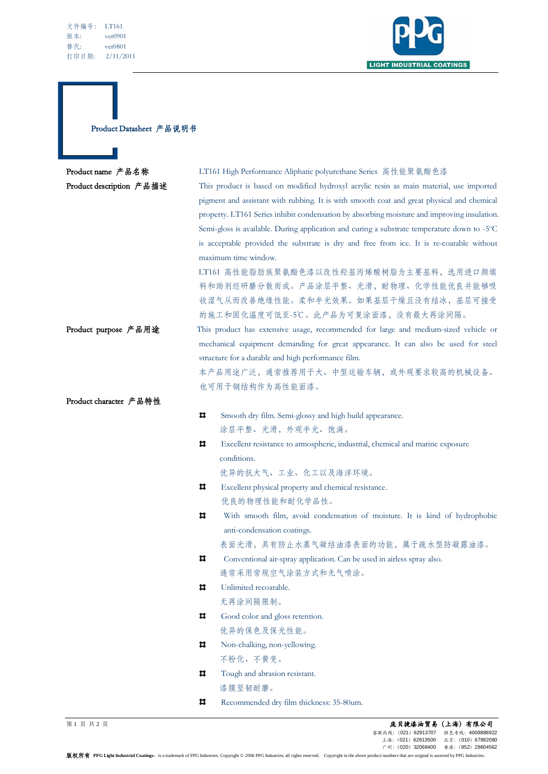

Product Datasheet 产品说明书

П

| Product name 产品名称        | LT161 High Performance Aliphatic polyurethane Series 高性能聚氨酯色漆                               |  |
|--------------------------|---------------------------------------------------------------------------------------------|--|
| Product description 产品描述 | This product is based on modified hydroxyl acrylic resin as main material, use imported     |  |
|                          | pigment and assistant with rubbing. It is with smooth coat and great physical and chemical  |  |
|                          | property. LT161 Series inhibit condensation by absorbing moisture and improving insulation. |  |
|                          | Semi-gloss is available. During application and curing a substrate temperature down to -5°C |  |
|                          | is acceptable provided the substrate is dry and free from ice. It is re-coatable without    |  |
|                          | maximum time window.                                                                        |  |
|                          | LT161 高性能脂肪族聚氨酯色漆以改性羟基丙烯酸树脂为主要基料, 选用进口颜填                                                    |  |
|                          | 料和助剂经研磨分散而成。产品涂层平整、光滑,耐物理、化学性能优良并能够吸                                                        |  |
|                          | 收湿气从而改善绝缘性能。柔和半光效果。如果基层干燥且没有结冰,基层可接受                                                        |  |
|                          | 的施工和固化温度可低至-5℃。此产品为可复涂面漆,没有最大再涂间隔。                                                          |  |
| Product purpose 产品用途     | This product has extensive usage, recommended for large and medium-sized vehicle or         |  |
|                          | mechanical equipment demanding for great appearance. It can also be used for steel          |  |
|                          | structure for a durable and high performance film.                                          |  |
|                          | 本产品用途广泛,通常推荐用于大、中型运输车辆,或外观要求较高的机械设备。                                                        |  |
|                          | 也可用于钢结构作为高性能面漆。                                                                             |  |
| Product character 产品特性   |                                                                                             |  |
|                          | ᄇ<br>Smooth dry film. Semi-glossy and high build appearance.                                |  |
|                          | 涂层平整、光滑,外观半光、饱满。                                                                            |  |
|                          | ᄇ<br>Excellent resistance to atmospheric, industrial, chemical and marine exposure          |  |
|                          | conditions.                                                                                 |  |
|                          | 优异的抗大气、工业、化工以及海洋环境。                                                                         |  |
|                          | ᄇ<br>Excellent physical property and chemical resistance.                                   |  |
|                          | 优良的物理性能和耐化学品性。                                                                              |  |
|                          | With smooth film, avoid condensation of moisture. It is kind of hydrophobic                 |  |
|                          | anti-condensation coatings.                                                                 |  |
|                          | 表面光滑,具有防止水蒸气凝结油漆表面的功能,属于疏水型防凝露油漆。                                                           |  |
|                          | ᄇ<br>Conventional air-spray application. Can be used in airless spray also.                 |  |
|                          | 通常采用常规空气涂装方式和无气喷涂。                                                                          |  |
|                          | ᄇ<br>Unlimited recoatable.                                                                  |  |
|                          | 无再涂间隔限制。                                                                                    |  |
|                          | ц<br>Good color and gloss retention.                                                        |  |
|                          | 优异的保色及保光性能。                                                                                 |  |
|                          | ᄇ<br>Non-chalking, non-yellowing.                                                           |  |
|                          | 不粉化、不黄变。                                                                                    |  |
|                          | Tough and abrasion resistant.<br>ᄇ                                                          |  |
|                          | 漆膜坚韧耐磨。                                                                                     |  |
|                          | ᄇ<br>Recommended dry film thickness: 35-80um.                                               |  |